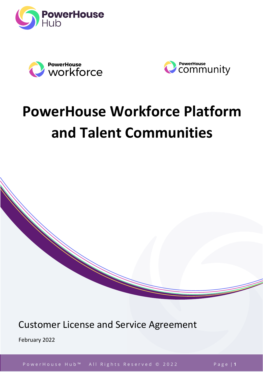





# **PowerHouse Workforce Platform and Talent Communities**

Customer License and Service Agreement

February 2022

PowerHouse Hub<sup>™</sup> All Rights Reserved © 2022 Page |1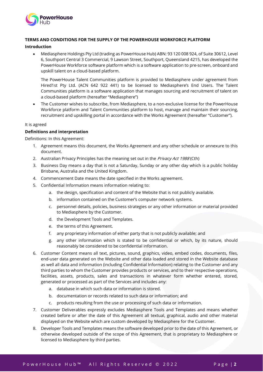

#### **TERMS AND CONDITIONS FOR THE SUPPLY OF THE POWERHOUSE WORKFORCE PLATFORM**

#### **Introduction**

• Mediasphere Holdings Pty Ltd (trading as PowerHouse Hub) ABN: 93 120 008 924, of Suite 30612, Level 6, Southport Central 3 Commercial, 9 Lawson Street, Southport, Queensland 4215, has developed the PowerHouse Workforce software platform which is a software application to pre-screen, onboard and upskill talent on a cloud-based platform.

The PowerHouse Talent Communities platform is provided to Mediasphere under agreement from Hired1st Pty Ltd. (ACN 642 922 441) to be licensed to Mediasphere's End Users. The Talent Communities platform is a software application that manages sourcing and recruitment of talent on a cloud-based platform (hereafter "Mediasphere")

• The Customer wishes to subscribe, from Mediasphere, to a non-exclusive license for the PowerHouse Workforce platform and Talent Communities platform to host, manage and maintain their sourcing, recruitment and upskilling portal in accordance with the Works Agreement (hereafter "Customer").

#### It is agreed

#### **Definitions and interpretation**

Definitions: In this Agreement:

- 1. Agreement means this document, the Works Agreement and any other schedule or annexure to this document.
- 2. Australian Privacy Principles has the meaning set out in the *Privacy Act 1988* (Cth)
- 3. Business Day means a day that is not a Saturday, Sunday or any other day which is a public holiday Brisbane, Australia and the United Kingdom.
- 4. Commencement Date means the date specified in the Works agreement.
- 5. Confidential Information means information relating to:
	- a. the design, specification and content of the Website that is not publicly available.
	- b. information contained on the Customer's computer network systems.
	- c. personnel details, policies, business strategies or any other information or material provided to Mediasphere by the Customer.
	- d. the Development Tools and Templates.
	- e. the terms of this Agreement.
	- f. any proprietary information of either party that is not publicly available; and
	- g. any other information which is stated to be confidential or which, by its nature, should reasonably be considered to be confidential information.
- 6. Customer Content means all text, pictures, sound, graphics, video, embed codes, documents, files, end-user data generated on the Website and other data loaded and stored in the Website database as well all data and information (including Confidential Information) relating to the Customer and any third parties to whom the Customer provides products or services, and to their respective operations, facilities, assets, products, sales and transactions in whatever form whether entered, stored, generated or processed as part of the Services and includes any:
	- a. database in which such data or information is stored.
	- b. documentation or records related to such data or information; and
	- c. products resulting from the use or processing of such data or information.
- 7. Customer Deliverables expressly excludes Mediasphere Tools and Templates and means whether created before or after the date of this Agreement all textual, graphical, audio and other material displayed on the Website which are custom developed by Mediasphere for the Customer.
- 8. Developer Tools and Templates means the software developed prior to the date of this Agreement, or otherwise developed outside of the scope of this Agreement, that is proprietary to Mediasphere or licensed to Mediasphere by third parties.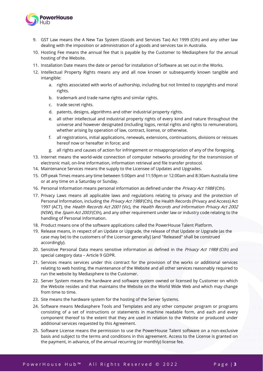

- 9. GST Law means the A New Tax System (Goods and Services Tax) Act 1999 (Cth) and any other law dealing with the imposition or administration of a goods and services tax in Australia.
- 10. Hosting Fee means the annual fee that is payable by the Customer to Mediasphere for the annual hosting of the Website.
- 11. Installation Date means the date or period for installation of Software as set out in the Works.
- 12. Intellectual Property Rights means any and all now known or subsequently known tangible and intangible:
	- a. rights associated with works of authorship, including but not limited to copyrights and moral rights.
	- b. trademark and trade name rights and similar rights.
	- c. trade secret rights.
	- d. patents, designs, algorithms and other industrial property rights.
	- e. all other intellectual and industrial property rights of every kind and nature throughout the universe and however designated (including logos, rental rights and rights to remuneration), whether arising by operation of law, contract, license, or otherwise.
	- f. all registrations, initial applications, renewals, extensions, continuations, divisions or reissues hereof now or hereafter in force; and
	- g. all rights and causes of action for infringement or misappropriation of any of the foregoing.
- 13. Internet means the world-wide connection of computer networks providing for the transmission of electronic mail, on-line information, information retrieval and file transfer protocol.
- 14. Maintenance Services means the supply to the Licensee of Updates and Upgrades.
- 15. Off-peak Times means any time between 5:00pm and 11:59pm or 12:00am and 8:30am Australia time or at any time on a Saturday or Sunday.
- 16. Personal Information means personal information as defined under the Privacy Act 1988 (Cth).
- 17. Privacy Laws means all applicable laws and regulations relating to privacy and the protection of Personal Information, including the Privacy Act 1988 (Cth), the Health Records (Privacy and Access) Act 1997 (ACT), the *Health Records Act 2001* (Vic), the *Health Records and Information Privacy Act 2002* (NSW), the Spam Act 2003 (Cth), and any other requirement under law or industry code relating to the handling of Personal Information.
- 18. Product means one of the software applications called the PowerHouse Talent Platform.
- 19. Release means, in respect of an Update or Upgrade, the release of that Update or Upgrade (as the case may be) to the customers of the Licensor generally] (and "Released" shall be construed accordingly).
- 20. Sensitive Personal Data means sensitive information as defined in the Privacy Act 1988 (Cth) and special category data – Article 9 GDPR.
- 21. Services means services under this contract for the provision of the works or additional services relating to web hosting, the maintenance of the Website and all other services reasonably required to run the website by Mediasphere to the Customer.
- 22. Server System means the hardware and software system owned or licensed by Customer on which the Website resides and that maintains the Website on the World Wide Web and which may change from time to time.
- 23. Site means the hardware system for the hosting of the Server Systems.
- 24. Software means Mediasphere Tools and Templates and any other computer program or programs consisting of a set of instructions or statements in machine readable form, and each and every component thereof to the extent that they are used in relation to the Website or produced under additional services requested by this Agreement.
- 25. Software License means the permission to use the PowerHouse Talent software on a non-exclusive basis and subject to the terms and conditions in this agreement. Access to the License is granted on the payment, in advance, of the annual recurring (or monthly) license fee.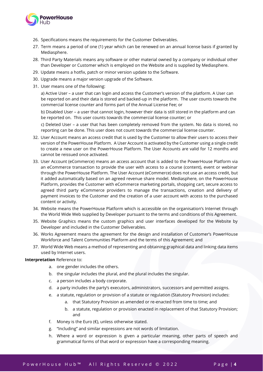

- 26. Specifications means the requirements for the Customer Deliverables.
- 27. Term means a period of one (1) year which can be renewed on an annual license basis if granted by Mediasphere.
- 28. Third Party Materials means any software or other material owned by a company or individual other than Developer or Customer which is employed on the Website and is supplied by Mediasphere.
- 29. Update means a hotfix, patch or minor version update to the Software.
- 30. Upgrade means a major version upgrade of the Software.
- 31. User means one of the following:

a) Active User – a user that can login and access the Customer's version of the platform. A User can be reported on and their data is stored and backed-up in the platform. The user counts towards the commercial license counter and forms part of the Annual License Fee; or

b) Disabled User – a user that cannot login, however their data is still stored in the platform and can be reported on. This user counts towards the commercial license counter; or

c) Deleted User – a user that has been completely removed from the system. No data is stored, no reporting can be done. This user does not count towards the commercial license counter.

- 32. User Account means an access credit that is used by the Customer to allow their users to access their version of the PowerHouse Platform. A User Account is activated by the Customer using a single credit to create a new user on the PowerHouse Platform. The User Accounts are valid for 12 months and cannot be reissued once activated.
- 33. User Account (eCommerce) means an access account that is added to the PowerHouse Platform via an eCommerce transaction to provide the user with access to a course (content), event or webinar through the PowerHouse Platform. The User Account (eCommerce) does not use an access credit, but it added automatically based on an agreed revenue share model. Mediasphere, on the PowerHouse Platform, provides the Customer with eCommerce marketing portals, shopping cart, secure access to agreed third party eCommerce providers to manage the transactions, creation and delivery of payment invoices to the Customer and the creation of a user account with access to the purchased content or activity.
- 34. Website means the PowerHouse Platform which is accessible on the organisation's Internet through the World Wide Web supplied by Developer pursuant to the terms and conditions of this Agreement.
- 35. Website Graphics means the custom graphics and user interfaces developed for the Website by Developer and included in the Customer Deliverables.
- 36. Works Agreement means the agreement for the design and installation of Customer's PowerHouse Workforce and Talent Communities Platform and the terms of this Agreement; and
- 37. World Wide Web means a method of representing and obtaining graphical data and linking data items used by Internet users.

#### **Interpretation** Reference to:

- a. one gender includes the others.
- b. the singular includes the plural, and the plural includes the singular.
- c. a person includes a body corporate.
- d. a party includes the party's executors, administrators, successors and permitted assigns.
- e. a statute, regulation or provision of a statute or regulation (Statutory Provision) includes:
	- a. that Statutory Provision as amended or re-enacted from time to time; and
	- b. a statute, regulation or provision enacted in replacement of that Statutory Provision; and
- f. Money is the Euro  $(\epsilon)$ , unless otherwise stated.
- g. "Including" and similar expressions are not words of limitation.
- h. Where a word or expression is given a particular meaning, other parts of speech and grammatical forms of that word or expression have a corresponding meaning.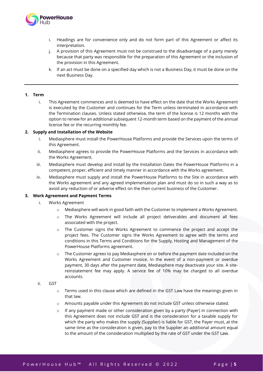

- i. Headings are for convenience only and do not form part of this Agreement or affect its interpretation.
- j. A provision of this Agreement must not be construed to the disadvantage of a party merely because that party was responsible for the preparation of this Agreement or the inclusion of the provision in this Agreement.
- k. If an act must be done on a specified day which is not a Business Day, it must be done on the next Business Day.

#### **1. Term**

i. This Agreement commences and is deemed to have effect on the date that the Works Agreement is executed by the Customer and continues for the Term unless terminated in accordance with the Termination clauses. Unless stated otherwise, the term of the license is 12 months with the option to renew for an additional subsequent 12-month term based on the payment of the annual license fee or the recurring monthly fee.

#### **2. Supply and Installation of the Website**

- i. Mediasphere must install the PowerHouse Platforms and provide the Services upon the terms of this Agreement.
- ii. Mediasphere agrees to provide the PowerHouse Platforms and the Services in accordance with the Works Agreement.
- iii. Mediasphere must develop and install by the Installation Dates the PowerHouse Platforms in a competent, proper, efficient and timely manner in accordance with the Works agreement.
- iv. Mediasphere must supply and install the PowerHouse Platforms to the Site in accordance with the Works agreement and any agreed implementation plan and must do so in such a way as to avoid any reduction of or adverse effect on the then current business of the Customer.

#### **3. Work Agreement and Payment Terms**

- i. Works Agreement
	- o Mediasphere will work in good faith with the Customer to implement a Works Agreement.
	- o The Works Agreement will include all project deliverables and document all fees associated with the project.
	- o The Customer signs the Works Agreement to commence the project and accept the project fees. The Customer signs the Works Agreement to agree with the terms and conditions in this Terms and Conditions for the Supply, Hosting and Management of the PowerHouse Platforms agreement.
	- $\circ$  The Customer agrees to pay Mediasphere on or before the payment date included on the Works Agreement and Customer invoice. In the event of a non-payment or overdue payment, 30 days after the payment date, Mediasphere may deactivate your site. A sitereinstatement fee may apply. A service fee of 10% may be charged to all overdue accounts.
- ii. GST
	- o Terms used in this clause which are defined in the GST Law have the meanings given in that law.
	- o Amounts payable under this Agreement do not include GST unless otherwise stated.
	- $\circ$  If any payment made or other consideration given by a party (Payer) in connection with this Agreement does not include GST and is the consideration for a taxable supply for which the party who makes the supply (Supplier) is liable for GST, the Payer must, at the same time as the consideration is given, pay to the Supplier an additional amount equal to the amount of the consideration multiplied by the rate of GST under the GST Law.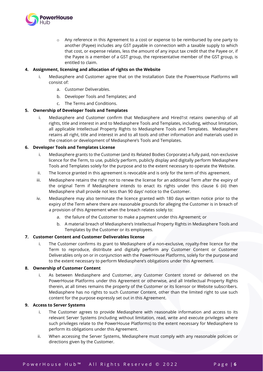

o Any reference in this Agreement to a cost or expense to be reimbursed by one party to another (Payee) includes any GST payable in connection with a taxable supply to which that cost, or expense relates, less the amount of any input tax credit that the Payee or, if the Payee is a member of a GST group, the representative member of the GST group, is entitled to claim.

#### **4. Assignment, licensing and allocation of rights on the Website**

- i. Mediasphere and Customer agree that on the Installation Date the PowerHouse Platforms will consist of:
	- a. Customer Deliverables.
	- b. Developer Tools and Templates; and
	- c. The Terms and Conditions.

#### **5. Ownership of Developer Tools and Templates**

i. Mediasphere and Customer confirm that Mediasphere and Hired1st retains ownership of all rights, title and interest in and to Mediasphere Tools and Templates, including, without limitation, all applicable Intellectual Property Rights to Mediasphere Tools and Templates. Mediasphere retains all right, title and interest in and to all tools and other information and materials used in the creation or development of Mediasphere's Tools and Templates.

#### **6. Developer Tools and Templates License**

- i. Mediasphere grants to the Customer (and its Related Bodies Corporate) a fully paid, non-exclusive licence for the Term, to use, publicly perform, publicly display and digitally perform Mediasphere Tools and Templates solely for the purpose and to the extent necessary to operate the Website.
- ii. The licence granted in this agreement is revocable and is only for the term of this agreement.
- iii. Mediasphere retains the right not to renew the license for an additional Term after the expiry of the original Term if Mediasphere intends to enact its rights under this clause 6 (iii) then Mediasphere shall provide not less than 90 days' notice to the Customer.
- iv. Mediasphere may also terminate the licence granted with 180 days written notice prior to the expiry of the Term where there are reasonable grounds for alleging the Customer is in breach of a provision of this Agreement when the breach relates solely to:
	- a. the failure of the Customer to make a payment under this Agreement; or
	- b. A material breach of Mediasphere's Intellectual Property Rights in Mediasphere Tools and Templates by the Customer or its employees.

#### **7. Customer Content and Customer Deliverables license**

i. The Customer confirms its grant to Mediasphere of a non-exclusive, royalty-free licence for the Term to reproduce, distribute and digitally perform any Customer Content or Customer Deliverables only on or in conjunction with the PowerHouse Platforms, solely for the purpose and to the extent necessary to perform Mediasphere's obligations under this Agreement.

#### **8. Ownership of Customer Content**

i. As between Mediasphere and Customer, any Customer Content stored or delivered on the PowerHouse Platforms under this Agreement or otherwise, and all Intellectual Property Rights therein, at all times remains the property of the Customer or its licensor or Website subscribers. Mediasphere has no rights to such Customer Content, other than the limited right to use such content for the purpose expressly set out in this Agreement.

#### **9. Access to Server Systems**

- i. The Customer agrees to provide Mediasphere with reasonable information and access to its relevant Server Systems (including without limitation, read, write and execute privileges where such privileges relate to the PowerHouse Platforms) to the extent necessary for Mediasphere to perform its obligations under this Agreement.
- ii. When accessing the Server Systems, Mediasphere must comply with any reasonable policies or directions given by the Customer.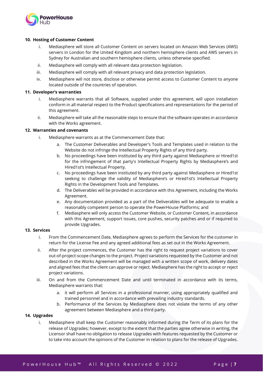

#### **10. Hosting of Customer Content**

- i. Mediasphere will store all Customer Content on servers located on Amazon Web Services (AWS) servers in London for the United Kingdom and northern hemisphere clients and AWS servers in Sydney for Australian and southern hemisphere clients, unless otherwise specified.
- ii. Mediasphere will comply with all relevant data protection legislation.
- iii. Mediasphere will comply with all relevant privacy and data protection legislation.
- iv. Mediasphere will not store, disclose or otherwise permit access to Customer Content to anyone located outside of the countries of operation.

#### **11. Developer's warranties**

- i. Mediasphere warrants that all Software, supplied under this agreement, will upon installation conform in all material respect to the Product specifications and representations for the period of this agreement.
- ii. Mediasphere will take all the reasonable steps to ensure that the software operates in accordance with the Works agreement.

#### **12. Warranties and covenants**

- i. Mediasphere warrants as at the Commencement Date that:
	- a. The Customer Deliverables and Developer's Tools and Templates used in relation to the Website do not infringe the Intellectual Property Rights of any third party.
	- b. No proceedings have been instituted by any third party against Mediasphere or Hired1st for the infringement of that party's Intellectual Property Rights by Mediasphere's and Hired1st's Intellectual Property.
	- c. No proceedings have been instituted by any third party against Mediasphere or Hired1st seeking to challenge the validity of Mediasphere's or Hired1st's Intellectual Property Rights in the Development Tools and Templates.
	- d. The Deliverables will be provided in accordance with this Agreement, including the Works Agreement.
	- e. Any documentation provided as a part of the Deliverables will be adequate to enable a reasonably competent person to operate the PowerHouse Platforms; and
	- f. Mediasphere will only access the Customer Website, or Customer Content, in accordance with this Agreement, support issues, core pushes, security patches and or if required to provide Upgrades.

#### **13. Services**

- i. From the Commencement Date, Mediasphere agrees to perform the Services for the customer in return for the License Fee and any agreed additional fees as set out in the Works Agreement.
- ii. After the project commences, the Customer has the right to request project variations to cover out-of-project-scope changes to the project. Project variations requested by the Customer and not described in the Works Agreement will be managed with a written scope of work, delivery dates and aligned fees that the client can approve or reject. Mediasphere has the right to accept or reject project variations.
- iii. On and from the Commencement Date and until terminated in accordance with its terms, Mediasphere warrants that:
	- a. it will perform all Services in a professional manner, using appropriately qualified and trained personnel and in accordance with prevailing industry standards.
	- b. Performance of the Services by Mediasphere does not violate the terms of any other agreement between Mediasphere and a third party.

#### **14. Upgrades**

i. Mediasphere shall keep the Customer reasonably informed during the Term of its plans for the release of Upgrades; however, except to the extent that the parties agree otherwise in writing, the Licensor shall have no obligation to release Upgrades with features requested by the Customer or to take into account the opinions of the Customer in relation to plans for the release of Upgrades.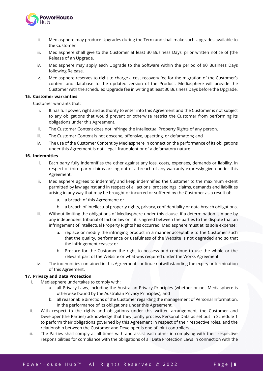

- ii. Mediasphere may produce Upgrades during the Term and shall make such Upgrades available to the Customer.
- iii. Mediasphere shall give to the Customer at least 30 Business Days' prior written notice of [the Release of an Upgrade.
- iv. Mediasphere may apply each Upgrade to the Software within the period of 90 Business Days following Release.
- v. Mediasphere reserves to right to charge a cost recovery fee for the migration of the Customer's content and database to the updated version of the Product. Mediasphere will provide the Customer with the scheduled Upgrade fee in writing at least 30 Business Days before the Upgrade.

#### **15. Customer warranties**

Customer warrants that:

- i. It has full power, right and authority to enter into this Agreement and the Customer is not subject to any obligations that would prevent or otherwise restrict the Customer from performing its obligations under this Agreement.
- ii. The Customer Content does not infringe the Intellectual Property Rights of any person.
- iii. The Customer Content is not obscene, offensive, upsetting, or defamatory; and
- iv. The use of the Customer Content by Mediasphere in connection the performance of its obligations under this Agreement is not illegal, fraudulent or of a defamatory nature.

#### **16. Indemnities**

- i. Each party fully indemnifies the other against any loss, costs, expenses, demands or liability, in respect of third-party claims arising out of a breach of any warranty expressly given under this Agreement.
- ii. Mediasphere agrees to indemnify and keep indemnified the Customer to the maximum extent permitted by law against and in respect of all actions, proceedings, claims, demands and liabilities arising in any way that may be brought or incurred or suffered by the Customer as a result of:
	- a. a breach of this Agreement; or
	- b. a breach of intellectual property rights, privacy, confidentiality or data breach obligations.
- iii. Without limiting the obligations of Mediasphere under this clause, if a determination is made by any independent tribunal of fact or law or if it is agreed between the parties to the dispute that an infringement of Intellectual Property Rights has occurred, Mediasphere must at its sole expense:
	- a. replace or modify the infringing product in a manner acceptable to the Customer such that the quality, performance or usefulness of the Website is not degraded and so that the infringement ceases; or
	- b. Procure for the Customer the right to possess and continue to use the whole or the relevant part of the Website or what was required under the Works Agreement.
- iv. The indemnities contained in this Agreement continue notwithstanding the expiry or termination of this Agreement.

#### <span id="page-7-0"></span>**17. Privacy and Data Protection**

- i. Mediasphere undertakes to comply with:
	- a. all Privacy Laws, including the Australian Privacy Principles (whether or not Mediasphere is otherwise bound by the Australian Privacy Principles); and
	- b. all reasonable directions of the Customer regarding the management of Personal Information, in the performance of its obligations under this Agreement.
- ii. With respect to the rights and obligations under this written arrangement, the Customer and Developer (the Parties) acknowledge that they jointly process Personal Data as set out in Schedule 1 to perform their obligations governed by this Agreement in respect of their respective roles, and the relationship between the Customer and Developer is one of joint controllers.
- iii. The Parties shall comply at all times with and assist each other in complying with their respective responsibilities for compliance with the obligations of all Data Protection Laws in connection with the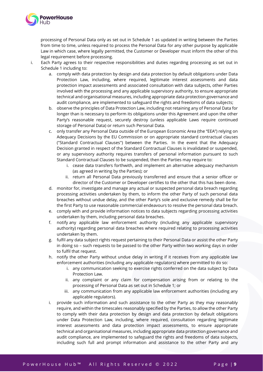

processing of Personal Data only as set out in Schedule 1 as updated in writing between the Parties from time to time, unless required to process the Personal Data for any other purpose by applicable Law in which case, where legally permitted, the Customer or Developer must inform the other of this legal requirement before processing.

- i. Each Party agrees to their respective responsibilities and duties regarding processing as set out in Schedule 1 including to:
	- a. comply with data protection by design and data protection by default obligations under Data Protection Law, including, where required, legitimate interest assessments and data protection impact assessments and associated consultation with data subjects, other Parties involved with the processing and any applicable supervisory authority, to ensure appropriate technical and organisational measures, including appropriate data protection governance and audit compliance, are implemented to safeguard the rights and freedoms of data subjects;
	- b. observe the principles of Data Protection Law, including not retaining any of Personal Data for longer than is necessary to perform its obligations under this Agreement and upon the other Party's reasonable request, securely destroy (unless applicable Laws require continued storage of Personal Data) or return such Personal Data.
	- c. only transfer any Personal Data outside of the European Economic Area (the "EEA") relying on Adequacy Decisions by the EU Commission or on appropriate standard contractual clauses ("Standard Contractual Clauses") between the Parties. In the event that the Adequacy Decision granted in respect of the Standard Contractual Clauses is invalidated or suspended, or any supervisory authority requires transfers of personal information pursuant to such Standard Contractual Clauses to be suspended, then the Parties may require to:
		- i. cease data transfers forthwith, and implement an alternative adequacy mechanism (as agreed in writing by the Parties); or
		- ii. return all Personal Data previously transferred and ensure that a senior officer or director of the Customer or Developer certifies to the other that this has been done.
	- d. monitor for, investigate and manage any actual or suspected personal data breach regarding processing activities undertaken by them, to inform the other Party of such personal data breaches without undue delay, and the other Party's sole and exclusive remedy shall be for the first Party to use reasonable commercial endeavours to resolve the personal data breach.
	- e. comply with and provide information notices to data subjects regarding processing activities undertaken by them, including personal data breaches.
	- f. notify any applicable law enforcement authority (including any applicable supervisory authority) regarding personal data breaches where required relating to processing activities undertaken by them.
	- g. fulfil any data subject rights request pertaining to their Personal Data or assist the other Party in doing so – such requests to be passed to the other Party within two working days in order to fulfil that request.
	- h. notify the other Party without undue delay in writing if it receives from any applicable law enforcement authorities (including any applicable regulators) where permitted to do so:
		- i. any communication seeking to exercise rights conferred on the data subject by Data Protection Law.
		- ii. any complaint or any claim for compensation arising from or relating to the processing of Personal Data as set out in Schedule 1; or
		- iii. any communication from any applicable law enforcement authorities (including any applicable regulators).
	- i. provide such information and such assistance to the other Party as they may reasonably require, and within the timescales reasonably specified by the Parties, to allow the other Party to comply with their data protection by design and data protection by default obligations under Data Protection Law, including, where required, consultation regarding legitimate interest assessments and data protection impact assessments, to ensure appropriate technical and organisational measures, including appropriate data protection governance and audit compliance, are implemented to safeguard the rights and freedoms of data subjects, including such full and prompt information and assistance to the other Party and any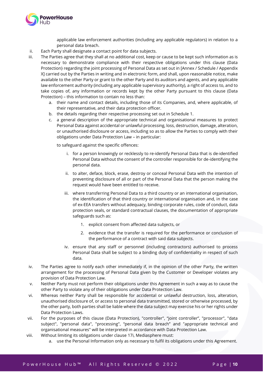

applicable law enforcement authorities (including any applicable regulators) in relation to a personal data breach.

- ii. Each Party shall designate a contact point for data subjects.
- iii. The Parties agree that they shall at no additional cost, keep or cause to be kept such information as is necessary to demonstrate compliance with their respective obligations under this clause (Data Protection} regarding the joint processing of Personal Data as set out in [Annex / Schedule / Appendix X] carried out by the Parties in writing and in electronic form, and shall, upon reasonable notice, make available to the other Party or grant to the other Party and its auditors and agents, and any applicable law enforcement authority (including any applicable supervisory authority), a right of access to, and to take copies of, any information or records kept by the other Party pursuant to this clause (Data Protection) – this information to contain no less than:
	- a. their name and contact details, including those of its Companies, and, where applicable, of their representative, and their data protection officer.
	- b. the details regarding their respective processing set out in Schedule 1.
	- c. a general description of the appropriate technical and organisational measures to protect Personal Data against accidental or unlawful processing, loss, destruction, damage, alteration, or unauthorised disclosure or access, including so as to allow the Parties to comply with their obligations under Data Protection Law – in particular:

to safeguard against the specific offences:

- i. for a person knowingly or recklessly to re-identify Personal Data that is de-identified Personal Data without the consent of the controller responsible for de-identifying the personal data.
- ii. to alter, deface, block, erase, destroy or conceal Personal Data with the intention of preventing disclosure of all or part of the Personal Data that the person making the request would have been entitled to receive.
- iii. where transferring Personal Data to a third country or an international organisation, the identification of that third country or international organisation and, in the case of ex-EEA transfers without adequacy, binding corporate rules, code of conduct, data protection seals, or standard contractual clauses, the documentation of appropriate safeguards such as:
	- 1. explicit consent from affected data subjects, or
	- 2. evidence that the transfer is required for the performance or conclusion of the performance of a contract with said data subjects.
- iv. ensure that any staff or personnel (including contractors) authorised to process Personal Data shall be subject to a binding duty of confidentiality in respect of such data.
- iv. The Parties agree to notify each other immediately if, in the opinion of the other Party, the written arrangement for the processing of Personal Data given by the Customer or Developer violates any provision of Data Protection Law.
- v. Neither Party must not perform their obligations under this Agreement in such a way as to cause the other Party to violate any of their obligations under Data Protection Law.
- vi. Whereas neither Party shall be responsible for accidental or unlawful destruction, loss, alteration, unauthorised disclosure of, or access to personal data transmitted, stored or otherwise processed, by the other party, both parties shall be liable where the data subject may exercise his or her rights under Data Protection Laws.
- vii. For the purposes of this clause (Data Protection), "controller", "joint controller", "processor", "data subject", "personal data", "processing", "personal data breach" and "appropriate technical and organisational measures" will be interpreted in accordance with Data Protection Law.
- viii. Without limiting its obligations under clause [17i](#page-7-0), Mediasphere must:
	- a. use the Personal Information only as necessary to fulfil its obligations under this Agreement.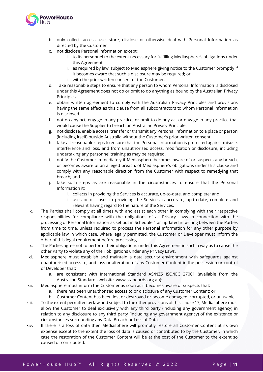

- b. only collect, access, use, store, disclose or otherwise deal with Personal Information as directed by the Customer.
- c. not disclose Personal Information except:
	- i. to its personnel to the extent necessary for fulfilling Mediasphere's obligations under this Agreement.
	- ii. as required by law, subject to Mediasphere giving notice to the Customer promptly if it becomes aware that such a disclosure may be required; or
	- iii. with the prior written consent of the Customer.
- d. Take reasonable steps to ensure that any person to whom Personal Information is disclosed under this Agreement does not do or omit to do anything as bound by the Australian Privacy Principles.
- e. obtain written agreement to comply with the Australian Privacy Principles and provisions having the same effect as this clause from all subcontractors to whom Personal Information is disclosed.
- f. not do any act, engage in any practice, or omit to do any act or engage in any practice that would cause the Supplier to breach an Australian Privacy Principle.
- g. not disclose, enable access, transfer or transmit any Personal Information to a place or person (including itself) outside Australia without the Customer's prior written consent.
- h. take all reasonable steps to ensure that the Personal Information is protected against misuse, interference and loss, and from unauthorised access, modification or disclosure, including undertaking any personnel training as may be required.
- i. notify the Customer immediately if Mediasphere becomes aware of or suspects any breach, or becomes aware of an alleged breach, of Mediasphere's obligations under this clause and comply with any reasonable direction from the Customer with respect to remedying that breach; and
- j. take such steps as are reasonable in the circumstances to ensure that the Personal Information it:
	- i. collects in providing the Services is accurate, up-to-date, and complete; and
	- ii. uses or discloses in providing the Services is accurate, up-to-date, complete and relevant having regard to the nature of the Services.
- ix. The Parties shall comply at all times with and assist each other in complying with their respective responsibilities for compliance with the obligations of all Privacy Laws in connection with the processing of Personal Information as set out in Schedule 1 as updated in writing between the Parties from time to time, unless required to process the Personal Information for any other purpose by applicable law in which case, where legally permitted, the Customer or Developer must inform the other of this legal requirement before processing.
- x. The Parties agree not to perform their obligations under this Agreement in such a way as to cause the other Party to violate any of their obligations under any Privacy Laws.
- xi. Mediasphere must establish and maintain a data security environment with safeguards against unauthorised access to, and loss or alteration of any Customer Content in the possession or control of Developer that:
	- a. are consistent with International Standard AS/NZS ISO/IEC 27001 (available from the Australian Standards website, www.standards.org.au):
- xii. Mediasphere must inform the Customer as soon as it becomes aware or suspects that:
	- a. there has been unauthorised access to or disclosure of any Customer Content; or
	- b. Customer Content has been lost or destroyed or become damaged, corrupted, or unusable.
- xiii. To the extent permitted by law and subject to the other provisions of this clause [17,](#page-7-0) Mediasphere must allow the Customer to deal exclusively with any third party (including any government agency) in relation to any disclosure to any third party (including any government agency) of the existence or circumstances surrounding any Data Breach or Loss of Data.
- xiv. If there is a loss of data then Mediasphere will promptly restore all Customer Content at its own expense except to the extent the loss of data is caused or contributed to by the Customer, in which case the restoration of the Customer Content will be at the cost of the Customer to the extent so caused or contributed.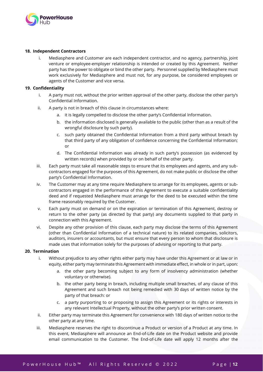

#### **18. Independent Contractors**

i. Mediasphere and Customer are each independent contractor, and no agency, partnership, joint venture or employee-employer relationship is intended or created by this Agreement. Neither party has the power to obligate or bind the other party. Personnel supplied by Mediasphere must work exclusively for Mediasphere and must not, for any purpose, be considered employees or agents of the Customer and vice versa.

#### **19. Confidentiality**

- i. A party must not, without the prior written approval of the other party, disclose the other party's Confidential Information.
- ii. A party is not in breach of this clause in circumstances where:
	- a. it is legally compelled to disclose the other party's Confidential Information.
	- b. the information disclosed is generally available to the public (other than as a result of the wrongful disclosure by such party).
	- c. such party obtained the Confidential Information from a third party without breach by that third party of any obligation of confidence concerning the Confidential Information; or
	- d. The Confidential Information was already in such party's possession (as evidenced by written records) when provided by or on behalf of the other party.
- iii. Each party must take all reasonable steps to ensure that its employees and agents, and any subcontractors engaged for the purposes of this Agreement, do not make public or disclose the other party's Confidential Information.
- iv. The Customer may at any time require Mediasphere to arrange for its employees, agents or subcontractors engaged in the performance of this Agreement to execute a suitable confidentiality deed and if requested Mediasphere must arrange for the deed to be executed within the time frame reasonably required by the Customer.
- v. Each party must on demand or on the expiration or termination of this Agreement, destroy or return to the other party (as directed by that party) any documents supplied to that party in connection with this Agreement.
- vi. Despite any other provision of this clause, each party may disclose the terms of this Agreement (other than Confidential Information of a technical nature) to its related companies, solicitors, auditors, insurers or accountants, but must ensure that every person to whom that disclosure is made uses that information solely for the purposes of advising or reporting to that party.

#### **20. Termination**

- i. Without prejudice to any other rights either party may have under this Agreement or at law or in equity, either party may terminate this Agreement with immediate effect, in whole or in part, upon:
	- a. the other party becoming subject to any form of insolvency administration (whether voluntary or otherwise).
	- b. the other party being in breach, including multiple small breaches, of any clause of this Agreement and such breach not being remedied with 30 days of written notice by the party of that breach: or
	- c. a party purporting to or proposing to assign this Agreement or its rights or interests in any relevant Intellectual Property, without the other party's prior written consent.
- ii. Either party may terminate this Agreement for convenience with 180 days of written notice to the other party at any time.
- iii. Mediasphere reserves the right to discontinue a Product or version of a Product at any time. In this event, Mediasphere will announce an End-of-Life date on the Product website and provide email communication to the Customer. The End-of-Life date will apply 12 months after the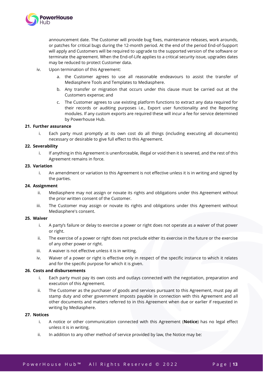

announcement date. The Customer will provide bug fixes, maintenance releases, work arounds, or patches for critical bugs during the 12-month period. At the end of the period End-of-Support will apply and Customers will be required to upgrade to the supported version of the software or terminate the agreement. When the End-of-Life applies to a critical security issue, upgrades dates may be reduced to protect Customer data.

- iv. Upon termination of this Agreement:
	- a. the Customer agrees to use all reasonable endeavours to assist the transfer of Mediasphere Tools and Templates to Mediasphere.
	- b. Any transfer or migration that occurs under this clause must be carried out at the Customers expense; and
	- c. The Customer agrees to use existing platform functions to extract any data required for their records or auditing purposes i.e., Export user functionality and the Reporting modules. If any custom exports are required these will incur a fee for service determined by Powerhouse Hub.

#### **21. Further assurance**

i. Each party must promptly at its own cost do all things (including executing all documents) necessary or desirable to give full effect to this Agreement.

#### **22. Severability**

i. If anything in this Agreement is unenforceable, illegal or void then it is severed, and the rest of this Agreement remains in force.

#### **23. Variation**

i. An amendment or variation to this Agreement is not effective unless it is in writing and signed by the parties.

#### **24. Assignment**

- ii. Mediasphere may not assign or novate its rights and obligations under this Agreement without the prior written consent of the Customer.
- iii. The Customer may assign or novate its rights and obligations under this Agreement without Mediasphere's consent.

#### **25. Waiver**

- i. A party's failure or delay to exercise a power or right does not operate as a waiver of that power or right.
- ii. The exercise of a power or right does not preclude either its exercise in the future or the exercise of any other power or right.
- iii. A waiver is not effective unless it is in writing.
- iv. Waiver of a power or right is effective only in respect of the specific instance to which it relates and for the specific purpose for which it is given.

#### **26. Costs and disbursements**

- i. Each party must pay its own costs and outlays connected with the negotiation, preparation and execution of this Agreement.
- ii. The Customer as the purchaser of goods and services pursuant to this Agreement, must pay all stamp duty and other government imposts payable in connection with this Agreement and all other documents and matters referred to in this Agreement when due or earlier if requested in writing by Mediasphere.

#### **27. Notices**

- i. A notice or other communication connected with this Agreement (**Notice**) has no legal effect unless it is in writing.
- ii. In addition to any other method of service provided by law, the Notice may be: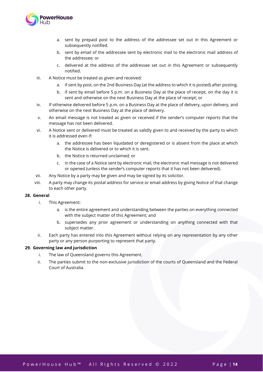

- a. sent by prepaid post to the address of the addressee set out in this Agreement or subsequently notified.
- b. sent by email of the addressee sent by electronic mail to the electronic mail address of the addressee; or
- c. delivered at the address of the addressee set out in this Agreement or subsequently notified.
- iii. A Notice must be treated as given and received:
	- a. if sent by post, on the 2nd Business Day (at the address to which it is posted) after posting.
	- b. if sent by email before 5 p.m. on a Business Day at the place of receipt, on the day it is sent and otherwise on the next Business Day at the place of receipt; or
- iv. If otherwise delivered before 5 p.m. on a Business Day at the place of delivery, upon delivery, and otherwise on the next Business Day at the place of delivery.
- v. An email message is not treated as given or received if the sender's computer reports that the message has not been delivered.
- vi. A Notice sent or delivered must be treated as validly given to and received by the party to which it is addressed even if:
	- a. the addressee has been liquidated or deregistered or is absent from the place at which the Notice is delivered or to which it is sent.
	- b. the Notice is returned unclaimed; or
	- c. in the case of a Notice sent by electronic mail, the electronic mail message is not delivered or opened (unless the sender's computer reports that it has not been delivered).
- vii. Any Notice by a party may be given and may be signed by its solicitor.
- viii. A party may change its postal address for service or email address by giving Notice of that change to each other party.

#### **28. General**

- i. This Agreement:
	- a. is the entire agreement and understanding between the parties on everything connected with the subject matter of this Agreement; and
	- b. supersedes any prior agreement or understanding on anything connected with that subject matter.
- ii. Each party has entered into this Agreement without relying on any representation by any other party or any person purporting to represent that party.

#### **29. Governing law and jurisdiction**

- i. The law of Queensland governs this Agreement.
- ii. The parties submit to the non-exclusive jurisdiction of the courts of Queensland and the Federal Court of Australia.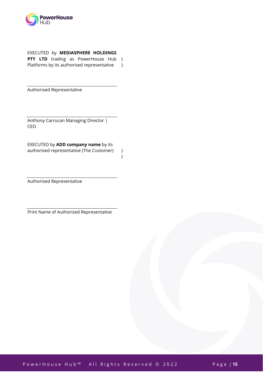

#### EXECUTED by **MEDIASPHERE HOLDINGS**

**PTY LTD** trading as PowerHouse Hub ) Platforms by its authorised representative )

Authorised Representative

Anthony Carrucan Managing Director | CEO

EXECUTED by **ADD company name** by its authorised representative (The Customer) )

)

Authorised Representative

Print Name of Authorised Representative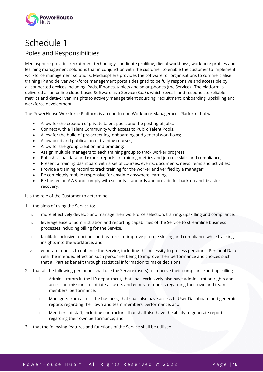

## Schedule 1 Roles and Responsibilities

Mediasphere provides recruitment technology, candidate profiling, digital workflows, workforce profiles and learning management solutions that in conjunction with the customer to enable the customer to implement workforce management solutions. Mediasphere provides the software for organisations to commercialise training IP and deliver workforce management portals designed to be fully responsive and accessible by all connected devices including iPads, iPhones, tablets and smartphones (the Service). The platform is delivered as an online cloud-based Software as a Service (SaaS), which reveals and responds to reliable metrics and data-driven insights to actively manage talent sourcing, recruitment, onboarding, upskilling and workforce development.

The PowerHouse Workforce Platform is an end-to-end Workforce Management Platform that will:

- Allow for the creation of private talent pools and the posting of jobs;
- Connect with a Talent Community with access to Public Talent Pools;
- Allow for the build of pre-screening, onboarding and general workflows;
- Allow build and publication of training courses;
- Allow for the group creation and branding;
- Assign multiple managers to each training group to track worker progress;
- Publish visual data and export reports on training metrics and job role skills and compliance;
- Present a training dashboard with a set of courses, events, documents, news items and activities;
- Provide a training record to track training for the worker and verified by a manager;
- Be completely mobile responsive for anytime anywhere learning;
- Be hosted on AWS and comply with security standards and provide for back-up and disaster recovery.

It is the role of the Customer to determine:

- 1. the aims of using the Service to:
	- i. more effectively develop and manage their workforce selection, training, upskilling and compliance.
	- ii. leverage ease of administration and reporting capabilities of the Service to streamline business processes including billing for the Service,
	- iii. facilitate inclusive functions and features to improve job role skilling and compliance while tracking insights into the workforce, and
	- iv. generate reports to enhance the Service, including the necessity to process personnel Personal Data with the intended effect on such personnel being to improve their performance and choices such that all Parties benefit through statistical information to make decisions.
- 2. that all the following personnel shall use the Service (users) to improve their compliance and upskilling:
	- i. Administrators in the HR department, that shall exclusively also have administration rights and access permissions to initiate all users and generate reports regarding their own and team members' performance,
	- ii. Managers from across the business, that shall also have access to User Dashboard and generate reports regarding their own and team members' performance, and
	- iii. Members of staff, including contractors, that shall also have the ability to generate reports regarding their own performance; and
- 3. that the following features and functions of the Service shall be utilised: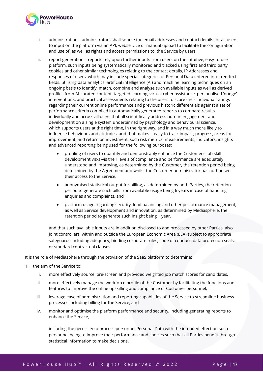

- i. administration administrators shall source the email addresses and contact details for all users to input on the platform via an API, webservice or manual upload to facilitate the configuration and use of, as well as rights and access permissions to, the Service by users,
- ii. report generation reports rely upon further inputs from users on the intuitive, easy-to-use platform, such inputs being systematically monitored and tracked using first and third party cookies and other similar technologies relating to the contact details, IP Addresses and responses of users, which may include special categories of Personal Data entered into free-text fields, utilising data analytics, artificial intelligence (AI) and machine learning techniques on an ongoing basis to identify, match, combine and analyse such available inputs as well as derived profiles from AI-curated content, targeted learning, virtual cyber assistance, personalised 'nudge' interventions, and practical assessments relating to the users to score their individual ratings regarding their current online performance and previous historic differentials against a set of performance criteria compiled in automatically generated reports to compare results individually and across all users that all scientifically address human engagement and development on a single system underpinned by psychology and behavioural science, which supports users at the right time, in the right way, and in a way much more likely to influence behaviours and attitudes, and that makes it easy to track impact, progress, areas for improvement, and return on investment, such risk metrics, measurements, indicators, insights and advanced reporting being used for the following purposes:
	- profiling of users to quantify and demonstrably enhance the Customer's job skill development vis-a-vis their levels of compliance and performance are adequately understood and improving, as determined by the Customer, the retention period being determined by the Agreement and whilst the Customer administrator has authorised their access to the Service,
	- anonymised statistical output for billing, as determined by both Parties, the retention period to generate such bills from available usage being 6 years in case of handling enquiries and complaints, and
	- platform usage regarding security, load balancing and other performance management, as well as Service development and innovation, as determined by Mediasphere, the retention period to generate such insight being 1 year,

and that such available inputs are in addition disclosed to and processed by other Parties, also joint controllers, within and outside the European Economic Area (EEA) subject to appropriate safeguards including adequacy, binding corporate rules, code of conduct, data protection seals, or standard contractual clauses.

It is the role of Mediasphere through the provision of the SaaS platform to determine:

- 1. the aim of the Service to:
	- i. more effectively source, pre-screen and provided weighted job match scores for candidates,
	- ii. more effectively manage the workforce profile of the Customer by facilitating the functions and features to improve the online upskilling and compliance of Customer personnel,
	- iii. leverage ease of administration and reporting capabilities of the Service to streamline business processes including billing for the Service, and
	- iv. monitor and optimise the platform performance and security, including generating reports to enhance the Service,

including the necessity to process personnel Personal Data with the intended effect on such personnel being to improve their performance and choices such that all Parties benefit through statistical information to make decisions.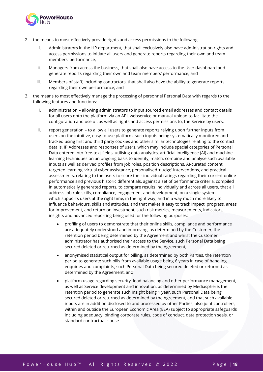

- 2. the means to most effectively provide rights and access permissions to the following:
	- i. Administrators in the HR department, that shall exclusively also have administration rights and access permissions to initiate all users and generate reports regarding their own and team members' performance,
	- ii. Managers from across the business, that shall also have access to the User dashboard and generate reports regarding their own and team members' performance, and
	- iii. Members of staff, including contractors, that shall also have the ability to generate reports regarding their own performance; and
- 3. the means to most effectively manage the processing of personnel Personal Data with regards to the following features and functions:
	- i. administration allowing administrators to input sourced email addresses and contact details for all users onto the platform via an API, webservice or manual upload to facilitate the configuration and use of, as well as rights and access permissions to, the Service by users,
	- ii. report generation to allow all users to generate reports relying upon further inputs from users on the intuitive, easy-to-use platform, such inputs being systematically monitored and tracked using first and third party cookies and other similar technologies relating to the contact details, IP Addresses and responses of users, which may include special categories of Personal Data entered into free-text fields, utilising data analytics, artificial intelligence (AI) and machine learning techniques on an ongoing basis to identify, match, combine and analyse such available inputs as well as derived profiles from job roles, position descriptions, AI-curated content, targeted learning, virtual cyber assistance, personalised 'nudge' interventions, and practical assessments, relating to the users to score their individual ratings regarding their current online performance and previous historic differentials, against a set of performance criteria, compiled in automatically generated reports, to compare results individually and across all users, that all address job role skills, compliance, engagement and development, on a single system, which supports users at the right time, in the right way, and in a way much more likely to influence behaviours, skills and attitudes, and that makes it easy to track impact, progress, areas for improvement, and return on investment, such risk metrics, measurements, indicators, insights and advanced reporting being used for the following purposes:
		- profiling of users to demonstrate that their online skills, compliance and performance are adequately understood and improving, as determined by the Customer, the retention period being determined by the Agreement and whilst the Customer administrator has authorised their access to the Service, such Personal Data being secured deleted or returned as determined by the Agreement,
		- anonymised statistical output for billing, as determined by both Parties, the retention period to generate such bills from available usage being 6 years in case of handling enquiries and complaints, such Personal Data being secured deleted or returned as determined by the Agreement, and
		- platform usage regarding security, load balancing and other performance management, as well as Service development and innovation, as determined by Mediasphere, the retention period to generate such insight being 1 year, such Personal Data being secured deleted or returned as determined by the Agreement, and that such available inputs are in addition disclosed to and processed by other Parties, also joint controllers, within and outside the European Economic Area (EEA) subject to appropriate safeguards including adequacy, binding corporate rules, code of conduct, data protection seals, or standard contractual clause.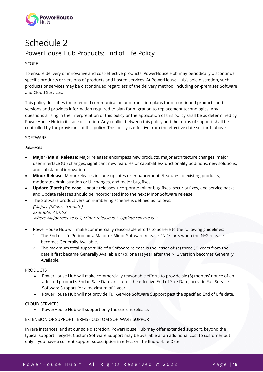

## Schedule 2 PowerHouse Hub Products: End of Life Policy

#### SCOPE

To ensure delivery of innovative and cost-effective products, PowerHouse Hub may periodically discontinue specific products or versions of products and hosted services. At PowerHouse Hub's sole discretion, such products or services may be discontinued regardless of the delivery method, including on-premises Software and Cloud Services.

This policy describes the intended communication and transition plans for discontinued products and versions and provides information required to plan for migration to replacement technologies. Any questions arising in the interpretation of this policy or the application of this policy shall be as determined by PowerHouse Hub in its sole discretion. Any conflict between this policy and the terms of support shall be controlled by the provisions of this policy. This policy is effective from the effective date set forth above.

#### **SOFTWARE**

#### Releases

- **Major (Main) Release**: Major releases encompass new products, major architecture changes, major user interface (UI) changes, significant new features or capabilities/functionality additions, new solutions, and substantial innovation.
- **Minor Release**: Minor releases include updates or enhancements/features to existing products, moderate administration or UI changes, and major bug fixes.
- **Update (Patch) Release**: Update releases incorporate minor bug fixes, security fixes, and service packs and Update releases should be incorporated into the next Minor Software release.
- The Software product version numbering scheme is defined as follows: (Major). (Minor). (Update). Example: 7.01.02 Where Major release is 7, Minor release is 1, Update release is 2.
- PowerHouse Hub will make commercially reasonable efforts to adhere to the following guidelines:
	- 1. The End-of-Life Period for a Major or Minor Software release, "N," starts when the N+2 release becomes Generally Available.
	- 2. The maximum total support life of a Software release is the lesser of: (a) three (3) years from the date it first became Generally Available or (b) one (1) year after the N+2 version becomes Generally Available.

#### PRODUCTS

- PowerHouse Hub will make commercially reasonable efforts to provide six (6) months' notice of an affected product's End of Sale Date and, after the effective End of Sale Date, provide Full-Service Software Support for a maximum of 1 year.
- PowerHouse Hub will not provide Full-Service Software Support past the specified End of Life date.

#### CLOUD SERVICES

• PowerHouse Hub will support only the current release.

#### EXTENSION OF SUPPORT TERMS - CUSTOM SOFTWARE SUPPORT

In rare instances, and at our sole discretion, PowerHouse Hub may offer extended support, beyond the typical support lifecycle. Custom Software Support may be available at an additional cost to customer but only if you have a current support subscription in effect on the End-of-Life Date.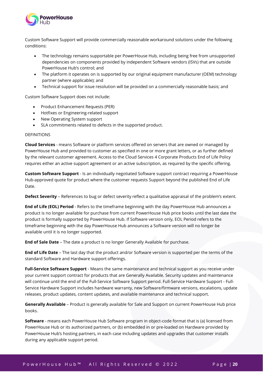

Custom Software Support will provide commercially reasonable workaround solutions under the following conditions:

- The technology remains supportable per PowerHouse Hub, including being free from unsupported dependencies on components provided by independent Software vendors (ISVs) that are outside PowerHouse Hub's control; and
- The platform it operates on is supported by our original equipment manufacturer (OEM) technology partner (where applicable); and
- Technical support for issue resolution will be provided on a commercially reasonable basis; and

Custom Software Support does not include:

- Product Enhancement Requests (PER)
- Hotfixes or Engineering-related support
- New Operating System support
- SLA commitments related to defects in the supported product.

#### DEFINITIONS

**Cloud Services** - means Software or platform services offered on servers that are owned or managed by PowerHouse Hub and provided to customer as specified in one or more grant letters, or as further defined by the relevant customer agreement. Access to the Cloud Services 4 Corporate Products End of Life Policy requires either an active support agreement or an active subscription, as required by the specific offering.

**Custom Software Support** - Is an individually negotiated Software support contract requiring a PowerHouse Hub-approved quote for product where the customer requests Support beyond the published End of Life Date.

**Defect Severity** – References to bug or defect severity reflect a qualitative appraisal of the problem's extent.

**End of Life (EOL) Period** - Refers to the timeframe beginning with the day PowerHouse Hub announces a product is no longer available for purchase from current PowerHouse Hub price books until the last date the product is formally supported by PowerHouse Hub. If Software version only, EOL Period refers to the timeframe beginning with the day PowerHouse Hub announces a Software version will no longer be available until it is no longer supported.

**End of Sale Date** – The date a product is no longer Generally Available for purchase.

**End of Life Date** – The last day that the product and/or Software version is supported per the terms of the standard Software and Hardware support offerings.

**Full-Service Software Support** - Means the same maintenance and technical support as you receive under your current support contract for products that are Generally Available. Security updates and maintenance will continue until the end of the Full-Service Software Support period. Full-Service Hardware Support - Full-Service Hardware Support includes hardware warranty, new Software/firmware versions, escalations, update releases, product updates, content updates, and available maintenance and technical support.

**Generally Available** – Product is generally available for Sale and Support on current PowerHouse Hub price books.

**Software** - means each PowerHouse Hub Software program in object-code format that is (a) licensed from PowerHouse Hub or its authorized partners, or (b) embedded in or pre-loaded on Hardware provided by PowerHouse Hub's hosting partners, in each case including updates and upgrades that customer installs during any applicable support period.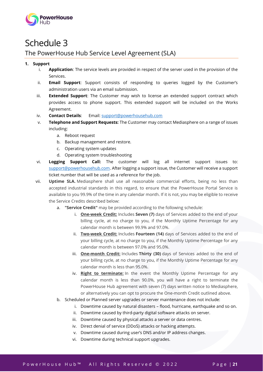

## Schedule 3

### The PowerHouse Hub Service Level Agreement (SLA)

#### **1. Support**

- i. **Application**: The service levels are provided in respect of the server used in the provision of the Services.
- ii. **Email Support**: Support consists of responding to queries logged by the Customer's administration users via an email submission.
- iii. **Extended Support**: The Customer may wish to license an extended support contract which provides access to phone support. This extended support will be included on the Works Agreement.
- iv. **Contact Details**: Email: [support@powerhousehub.com](mailto:support@powerhousehub.com)
- v. **Telephone and Support Requests:** The Customer may contact Mediasphere on a range of issues including:
	- a. Reboot request
	- b. Backup management and restore.
	- c. Operating system updates
	- d. Operating system troubleshooting
- vi. **Logging Support Call:** The customer will log all internet support issues to: [support@powerhousehub.com.](mailto:support@powerhousehub.com) After logging a support issue, the Customer will receive a support ticket number that will be used as a reference for the job.
- vii. **Uptime SLA.** Mediasphere shall use all reasonable commercial efforts, being no less than accepted industrial standards in this regard, to ensure that the PowerHouse Portal Service is available to you 99.9% of the time in any calendar month. If it is not, you may be eligible to receive the Service Credits described below:
	- a. **"Service Credit"** may be provided according to the following schedule:
		- i. **One-week Credit:** Includes **Seven (7)** days of Services added to the end of your billing cycle, at no charge to you, if the Monthly Uptime Percentage for any calendar month is between 99.9% and 97.0%.
		- ii. **Two-week Credit:** Includes **Fourteen (14)** days of Services added to the end of your billing cycle, at no charge to you, if the Monthly Uptime Percentage for any calendar month is between 97.0% and 95.0%.
		- iii. **One-month Credit:** Includes **Thirty (30)** days of Services added to the end of your billing cycle, at no charge to you, if the Monthly Uptime Percentage for any calendar month is less than 95.0%.
		- iv. **Right to terminate:** In the event the Monthly Uptime Percentage for any calendar month is less than 90.0%, you will have a right to terminate the PowerHouse Hub agreement with seven (7) days written notice to Mediasphere, or alternatively you can opt to procure the One-month Credit outlined above.
	- b. Scheduled or Planned server upgrades or server maintenance does not include:
		- i. Downtime caused by natural disasters flood, hurricane, earthquake and so on.
		- ii. Downtime caused by third-party digital software attacks on server.
		- iii. Downtime caused by physical attacks a server or data centres.
		- iv. Direct denial of service (DDoS) attacks or hacking attempts.
		- v. Downtime caused during user's DNS and/or IP address changes.
		- vi. Downtime during technical support upgrades.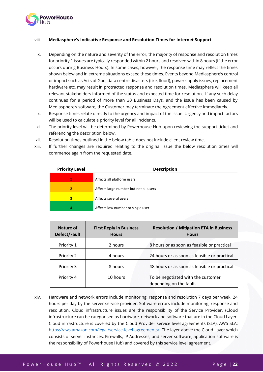

#### viii. **Mediasphere's Indicative Response and Resolution Times for Internet Support**

- ix. Depending on the nature and severity of the error, the majority of response and resolution times for priority 1 issues are typically responded within 2 hours and resolved within 8 hours (if the error occurs during Business Hours). In some cases, however, the response time may reflect the times shown below and in extreme situations exceed these times. Events beyond Mediasphere's control or impact such as Acts of God, data centre disasters (fire, flood), power supply issues, replacement hardware etc. may result in protracted response and resolution times. Mediasphere will keep all relevant stakeholders informed of the status and expected time for resolution. If any such delay continues for a period of more than 30 Business Days, and the issue has been caused by Mediasphere's software, the Customer may terminate the Agreement effective immediately.
- x. Response times relate directly to the urgency and impact of the issue. Urgency and impact factors will be used to calculate a priority level for all incidents.
- xi. The priority level will be determined by Powerhouse Hub upon reviewing the support ticket and referencing the description below.
- xii. Resolution times outlined in the below table does not include client review time.
- xiii. If further changes are required relating to the original issue the below resolution times will commence again from the requested date.

| <b>Priority Level</b> | <b>Description</b>                     |
|-----------------------|----------------------------------------|
| T                     | Affects all platform users             |
| $\overline{2}$        | Affects large number but not all users |
| 3                     | Affects several users                  |
| 4                     | Affects low number or single user      |

| Nature of<br>Defect/Fault | <b>First Reply in Business</b><br><b>Hours</b> | <b>Resolution / Mitigation ETA in Business</b><br><b>Hours</b> |
|---------------------------|------------------------------------------------|----------------------------------------------------------------|
| Priority 1                | 2 hours                                        | 8 hours or as soon as feasible or practical                    |
| Priority 2                | 4 hours                                        | 24 hours or as soon as feasible or practical                   |
| Priority 3                | 8 hours                                        | 48 hours or as soon as feasible or practical                   |
| Priority 4                | 10 hours                                       | To be negotiated with the customer<br>depending on the fault.  |

xiv. Hardware and network errors include monitoring, response and resolution 7 days per week, 24 hours per day by the server service provider. Software errors include monitoring, response and resolution. Cloud infrastructure issues are the responsibility of the Service Provider. (Cloud infrastructure can be categorised as hardware, network and software that are in the Cloud Layer. Cloud infrastructure is covered by the Cloud Provider service level agreements (SLA). AWS SLA: <https://aws.amazon.com/legal/service-level-agreements/> The layer above the Cloud Layer which consists of server instances, Firewalls, IP Addresses, and server software, application software is the responsibility of Powerhouse Hub) and covered by this service level agreement.